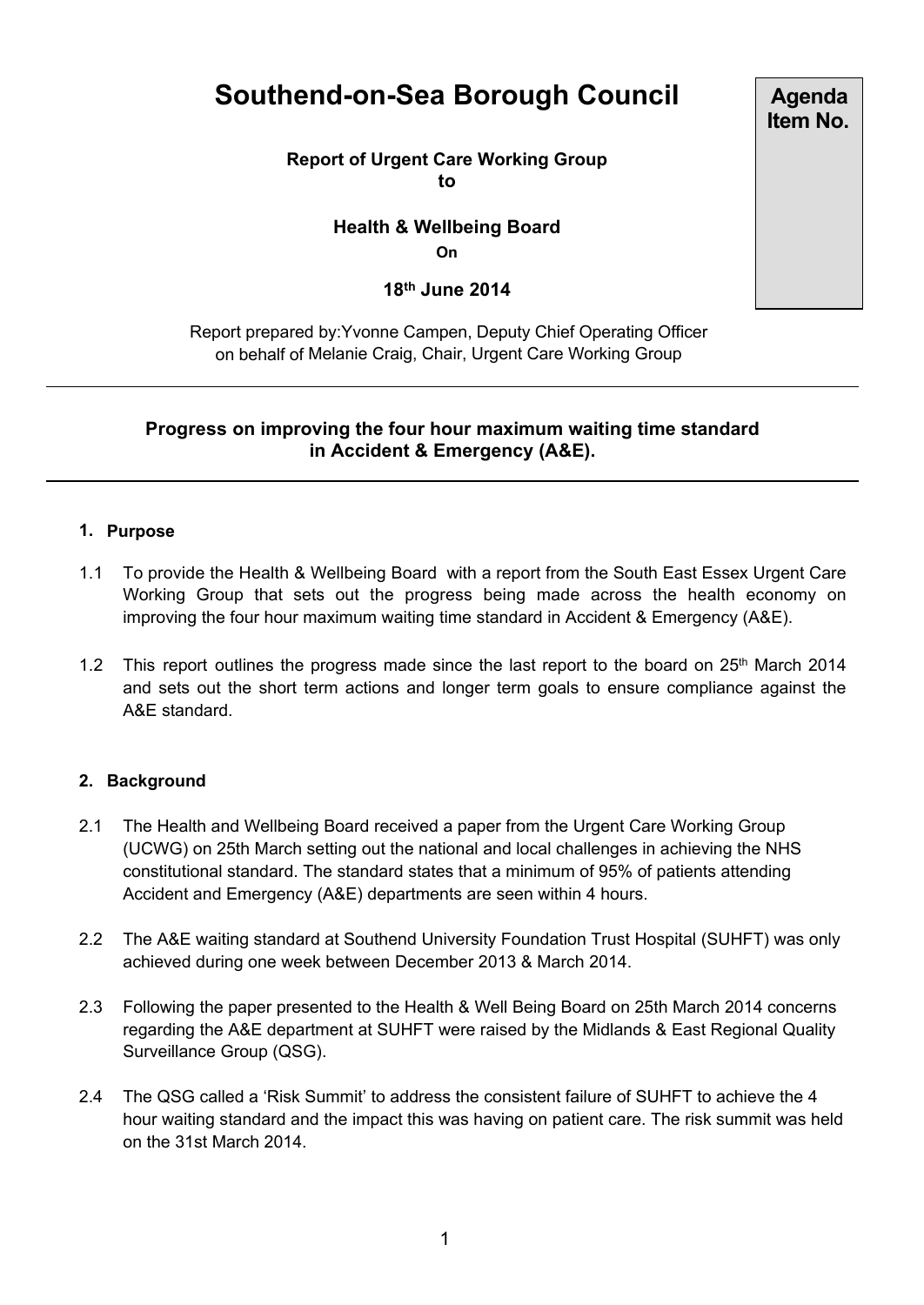# **Southend-on-Sea Borough Council**

**Report of Urgent Care Working Group to**

> **Health & Wellbeing Board On**

> > **18th June 2014**

Report prepared by:Yvonne Campen, Deputy Chief Operating Officer on behalf of Melanie Craig, Chair, Urgent Care Working Group

# **Progress on improving the four hour maximum waiting time standard in Accident & Emergency (A&E).**

### **1. Purpose**

- 1.1 To provide the Health & Wellbeing Board with a report from the South East Essex Urgent Care Working Group that sets out the progress being made across the health economy on improving the four hour maximum waiting time standard in Accident & Emergency (A&E).
- 1.2 This report outlines the progress made since the last report to the board on 25<sup>th</sup> March 2014 and sets out the short term actions and longer term goals to ensure compliance against the A&E standard.

#### **2. Background**

- 2.1 The Health and Wellbeing Board received a paper from the Urgent Care Working Group (UCWG) on 25th March setting out the national and local challenges in achieving the NHS constitutional standard. The standard states that a minimum of 95% of patients attending Accident and Emergency (A&E) departments are seen within 4 hours.
- 2.2 The A&E waiting standard at Southend University Foundation Trust Hospital (SUHFT) was only achieved during one week between December 2013 & March 2014.
- 2.3 Following the paper presented to the Health & Well Being Board on 25th March 2014 concerns regarding the A&E department at SUHFT were raised by the Midlands & East Regional Quality Surveillance Group (QSG).
- 2.4 The QSG called a 'Risk Summit' to address the consistent failure of SUHFT to achieve the 4 hour waiting standard and the impact this was having on patient care. The risk summit was held on the 31st March 2014.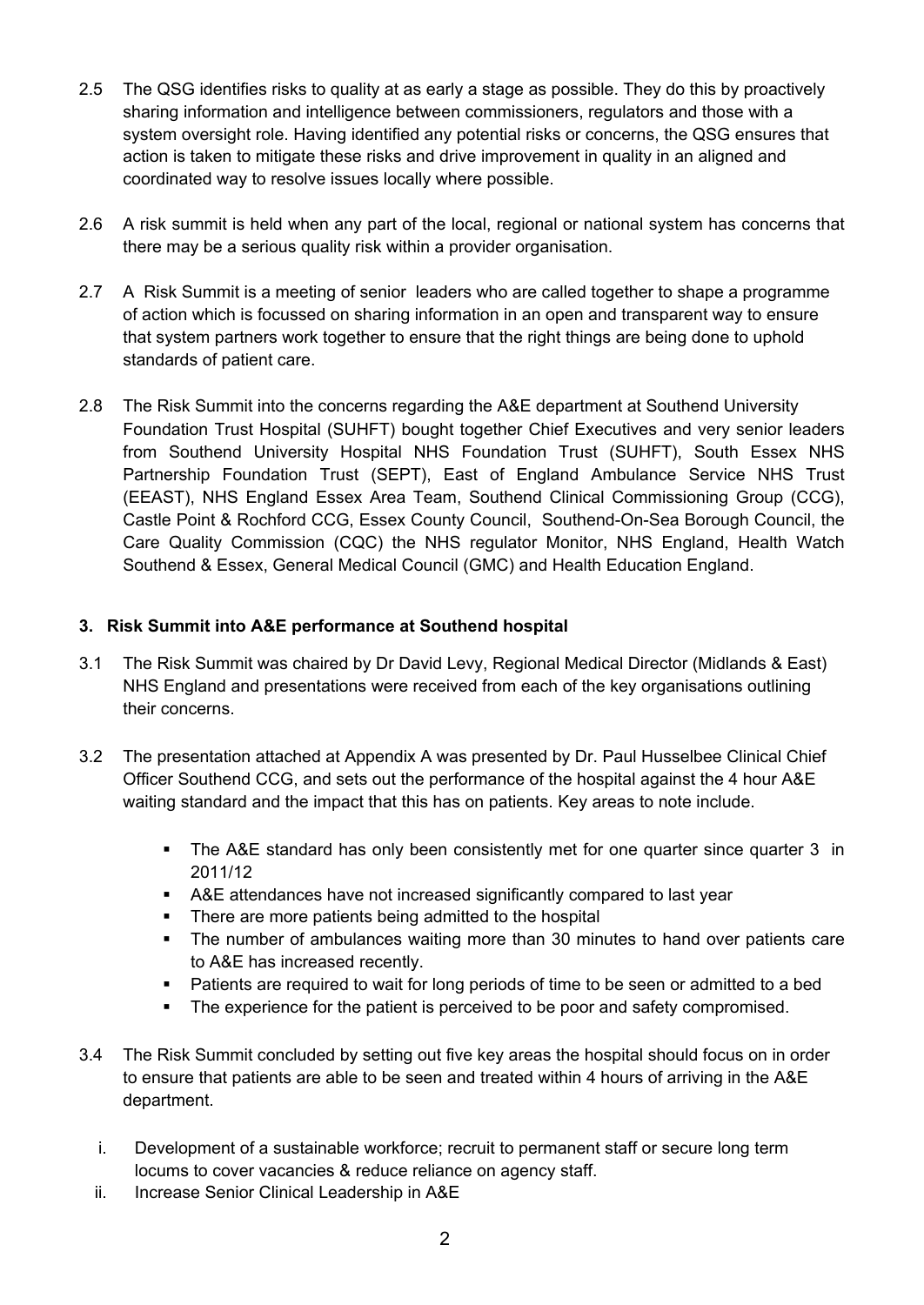- 2.5 The QSG identifies risks to quality at as early a stage as possible. They do this by proactively sharing information and intelligence between commissioners, regulators and those with a system oversight role. Having identified any potential risks or concerns, the QSG ensures that action is taken to mitigate these risks and drive improvement in quality in an aligned and coordinated way to resolve issues locally where possible.
- 2.6 A risk summit is held when any part of the local, regional or national system has concerns that there may be a serious quality risk within a provider organisation.
- 2.7 A Risk Summit is a meeting of senior leaders who are called together to shape a programme of action which is focussed on sharing information in an open and transparent way to ensure that system partners work together to ensure that the right things are being done to uphold standards of patient care.
- 2.8 The Risk Summit into the concerns regarding the A&E department at Southend University Foundation Trust Hospital (SUHFT) bought together Chief Executives and very senior leaders from Southend University Hospital NHS Foundation Trust (SUHFT), South Essex NHS Partnership Foundation Trust (SEPT), East of England Ambulance Service NHS Trust (EEAST), NHS England Essex Area Team, Southend Clinical Commissioning Group (CCG), Castle Point & Rochford CCG, Essex County Council, Southend-On-Sea Borough Council, the Care Quality Commission (CQC) the NHS regulator Monitor, NHS England, Health Watch Southend & Essex, General Medical Council (GMC) and Health Education England.

# **3. Risk Summit into A&E performance at Southend hospital**

- 3.1 The Risk Summit was chaired by Dr David Levy, Regional Medical Director (Midlands & East) NHS England and presentations were received from each of the key organisations outlining their concerns.
- 3.2 The presentation attached at Appendix A was presented by Dr. Paul Husselbee Clinical Chief Officer Southend CCG, and sets out the performance of the hospital against the 4 hour A&E waiting standard and the impact that this has on patients. Key areas to note include.
	- The A&E standard has only been consistently met for one quarter since quarter 3 in 2011/12
	- A&E attendances have not increased significantly compared to last year
	- There are more patients being admitted to the hospital
	- The number of ambulances waiting more than 30 minutes to hand over patients care to A&E has increased recently.
	- Patients are required to wait for long periods of time to be seen or admitted to a bed
	- The experience for the patient is perceived to be poor and safety compromised.
- 3.4 The Risk Summit concluded by setting out five key areas the hospital should focus on in order to ensure that patients are able to be seen and treated within 4 hours of arriving in the A&E department.
	- i. Development of a sustainable workforce; recruit to permanent staff or secure long term locums to cover vacancies & reduce reliance on agency staff.
	- ii. Increase Senior Clinical Leadership in A&E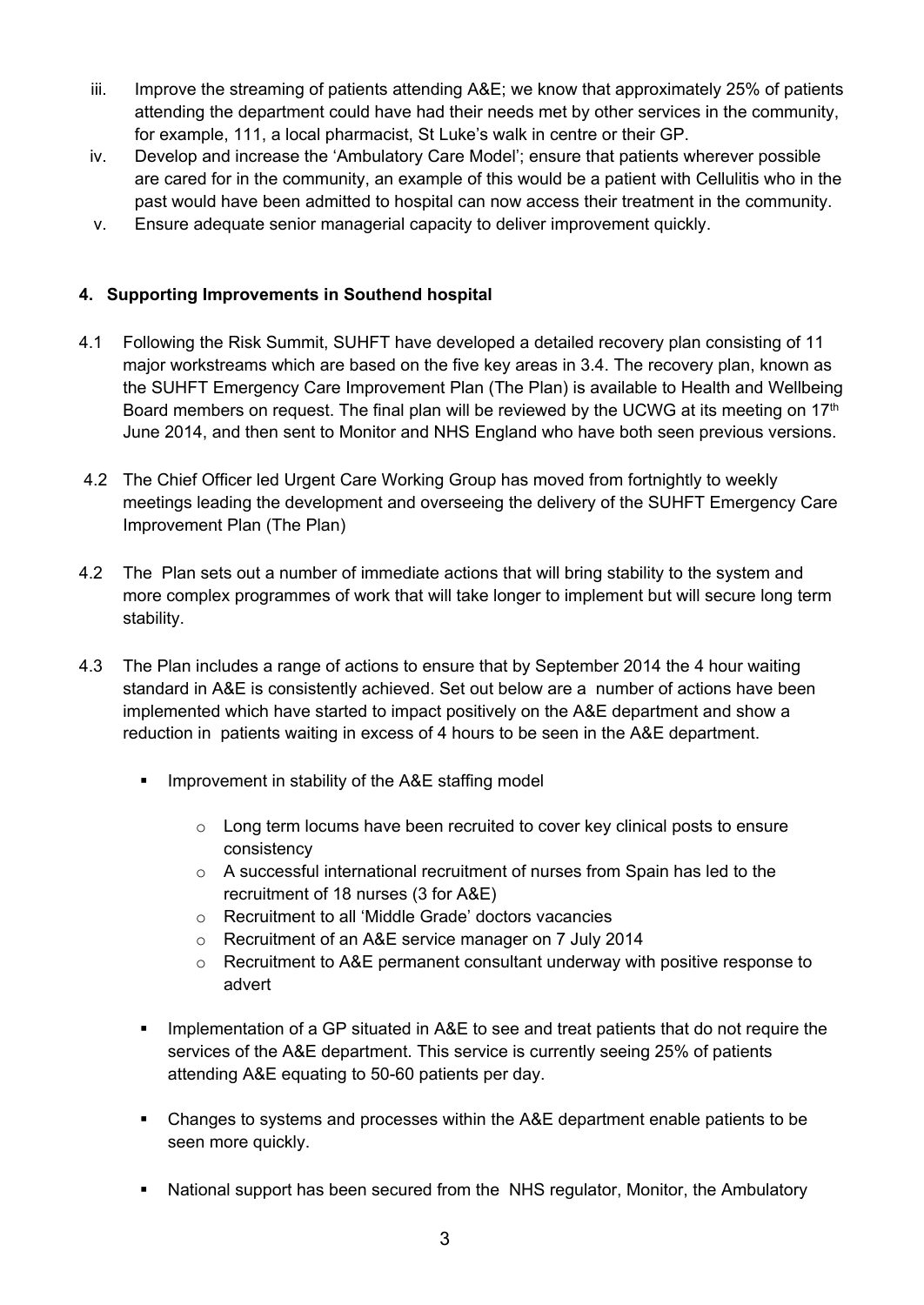- iii. Improve the streaming of patients attending A&E; we know that approximately 25% of patients attending the department could have had their needs met by other services in the community, for example, 111, a local pharmacist, St Luke's walk in centre or their GP.
- iv. Develop and increase the 'Ambulatory Care Model'; ensure that patients wherever possible are cared for in the community, an example of this would be a patient with Cellulitis who in the past would have been admitted to hospital can now access their treatment in the community.
- v. Ensure adequate senior managerial capacity to deliver improvement quickly.

# **4. Supporting Improvements in Southend hospital**

- 4.1 Following the Risk Summit, SUHFT have developed a detailed recovery plan consisting of 11 major workstreams which are based on the five key areas in 3.4. The recovery plan, known as the SUHFT Emergency Care Improvement Plan (The Plan) is available to Health and Wellbeing Board members on request. The final plan will be reviewed by the UCWG at its meeting on 17<sup>th</sup> June 2014, and then sent to Monitor and NHS England who have both seen previous versions.
- 4.2 The Chief Officer led Urgent Care Working Group has moved from fortnightly to weekly meetings leading the development and overseeing the delivery of the SUHFT Emergency Care Improvement Plan (The Plan)
- 4.2 The Plan sets out a number of immediate actions that will bring stability to the system and more complex programmes of work that will take longer to implement but will secure long term stability.
- 4.3 The Plan includes a range of actions to ensure that by September 2014 the 4 hour waiting standard in A&E is consistently achieved. Set out below are a number of actions have been implemented which have started to impact positively on the A&E department and show a reduction in patients waiting in excess of 4 hours to be seen in the A&E department.
	- **IMPROVEMENT IN STADILITY OF the A&E staffing model** 
		- o Long term locums have been recruited to cover key clinical posts to ensure consistency
		- o A successful international recruitment of nurses from Spain has led to the recruitment of 18 nurses (3 for A&E)
		- o Recruitment to all 'Middle Grade' doctors vacancies
		- o Recruitment of an A&E service manager on 7 July 2014
		- o Recruitment to A&E permanent consultant underway with positive response to advert
	- **IMPLEM** 1 Implementation of a GP situated in A&E to see and treat patients that do not require the services of the A&E department. This service is currently seeing 25% of patients attending A&E equating to 50-60 patients per day.
	- Changes to systems and processes within the A&E department enable patients to be seen more quickly.
	- National support has been secured from the NHS regulator, Monitor, the Ambulatory